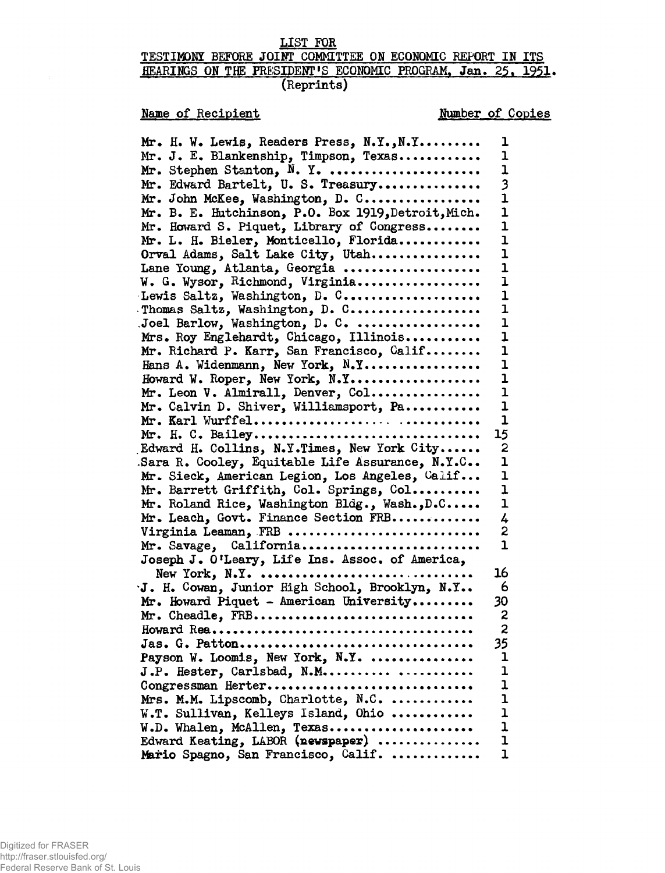### **LIST FOR**

# **TESTIMONY BEFORE JOINT COMMITTEE ON ECONOMIC REPORT IN ITS** HEARINGS ON THE PRESIDENT'S ECONOMIC PROGRAM, Jan. 25, 1951. **(Reprints)**

# **Name of Recipient Number of Copies**

| Mr. H. W. Lewis, Readers Press, N.Y., N.Y                                                 | ı                       |
|-------------------------------------------------------------------------------------------|-------------------------|
| Mr. J. E. Blankenship, Timpson, Texas                                                     | ı                       |
| Mr. Stephen Stanton, $N.$ Y.                                                              | $\overline{1}$          |
| Mr. Edward Bartelt, U. S. Treasury                                                        | 3                       |
| Mr. John McKee, Washington, D. C                                                          | $\overline{\mathbf{1}}$ |
| Mr. B. E. Hutchinson, P.O. Box 1919, Detroit, Mich.                                       | $\overline{\mathbf{1}}$ |
| Mr. Howard S. Piquet, Library of Congress                                                 | 1                       |
| Mr. L. H. Bieler, Monticello, Florida                                                     | ı                       |
| Orval Adams, Salt Lake City, Utah                                                         | ı                       |
| Lane Young, Atlanta, Georgia                                                              | $\overline{\mathbf{1}}$ |
| W. G. Wysor, Richmond, Virginia                                                           | ı                       |
| Lewis Saltz, Washington, D. C                                                             | 1                       |
| Thomas Saltz, Washington, D. C                                                            | ı                       |
| Joel Barlow, Washington, D. C.                                                            | 1                       |
| Mrs. Roy Englehardt, Chicago, Illinois                                                    | 1                       |
| Mr. Richard P. Karr, San Francisco, Galif                                                 | $\mathbf 1$             |
| Hans A. Widenmann, New York, N.Y                                                          | $\mathbf 1$             |
| Howard W. Roper, New York, N.Y                                                            | $\mathbf 1$             |
| Mr. Leon V. Almirall, Denver, Col                                                         | 1                       |
| Mr. Calvin D. Shiver, Williamsport, Pa                                                    | $\mathbf 1$             |
|                                                                                           | $\mathbf{1}$            |
| Mr. H. C. Bailey                                                                          | 15                      |
| Edward H. Collins, N.Y.Times, New York City                                               | 2<br>1                  |
| Sara R. Cooley, Equitable Life Assurance, N.Y.C                                           | $\mathbf 1$             |
| Mr. Sieck, American Legion, Los Angeles, Calif<br>Mr. Barrett Griffith, Col. Springs, Col | ı                       |
| Mr. Roland Rice, Washington Bldg., Wash., D.C                                             | ı                       |
| Mr. Leach, Govt. Finance Section FRB                                                      | 4                       |
| Virginia Leaman, FRB                                                                      | 2                       |
| Mr. Savage, California                                                                    | $\mathbf{1}$            |
| Joseph J. O'Leary, Life Ins. Assoc. of America,                                           |                         |
| New York, $N \cdot Y$ .                                                                   | 16                      |
| J. H. Cowan, Junior High School, Brooklyn, N.Y                                            | 6                       |
| Mr. Howard Piquet - American University                                                   | 30                      |
| Mr. Cheadle, FRB                                                                          | 2                       |
|                                                                                           | $\overline{c}$          |
| Jas. G. Patton                                                                            | 35                      |
| Payson W. Loomis, New York, N.Y.                                                          | $\mathbf 1$             |
| J.P. Hester, Carlsbad, N.M                                                                | 1                       |
| Congressman Herter                                                                        | ı                       |
| Mrs. M.M. Lipscomb, Charlotte, N.C.                                                       | $\mathbf{I}$            |
| W.T. Sullivan, Kelleys Island, Ohio                                                       | $\mathbf 1$             |
|                                                                                           | $\mathbf{1}$            |
| W.D. Whalen, McAllen, Texas<br>Edward Keating, LABOR (newspaper)                          | $\mathbf 1$             |
| Mario Spagno, San Francisco, Calif.                                                       | $\overline{1}$          |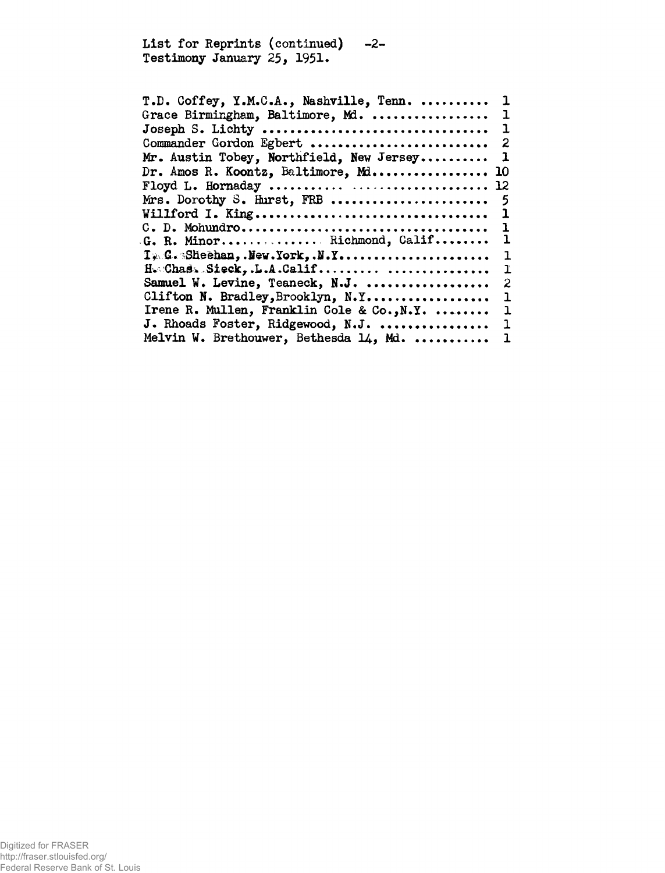**List for Reprints (continued) -2- Testimony January 25, 1951.**

| T.D. Coffey, Y.M.C.A., Nashville, Tenn.    | ı                          |
|--------------------------------------------|----------------------------|
| Grace Birmingham, Baltimore, Md.           | ı                          |
|                                            |                            |
| Commander Gordon Egbert                    | $\overline{\phantom{a}}^2$ |
| Mr. Austin Tobey, Northfield, New Jersey   | 1                          |
| Dr. Amos R. Koontz, Baltimore, Mi 10       |                            |
|                                            |                            |
| Mrs. Dorothy S. Hurst, FRB                 | - 5                        |
|                                            |                            |
|                                            | 1                          |
| G. R. Minor Richmond, Calif                | 1                          |
| Ty G. Slieehan, . New York, . N.Y          | 1                          |
| H. Chas. Sieck, .L.A.Calif                 | ľ                          |
| Samuel W. Levine, Teaneck, N.J.            | 2                          |
| Clifton N. Bradley, Brooklyn, N.Y          | ı                          |
| Irene R. Mullen, Franklin Cole & Co., N.Y. | ı                          |
| J. Rhoads Foster, Ridgewood, N.J.  1       |                            |
| Melvin W. Brethouwer, Bethesda 14, Md.     | - 1                        |
|                                            |                            |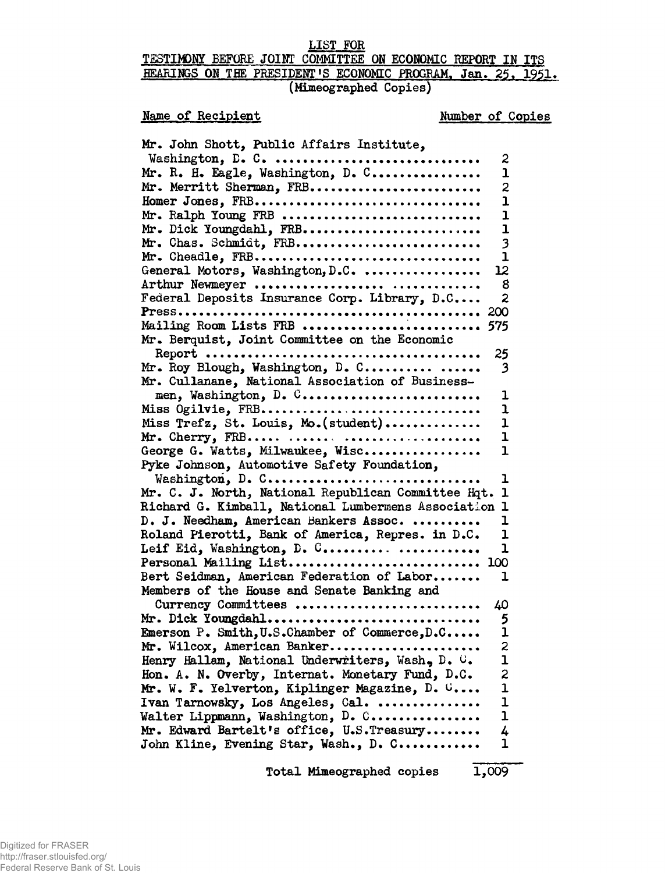### **LIST FOR**

# **TESTIMONY BEFORE JOINT COMMITTEE ON ECONOMIC REPORT IN ITS HEARINGS ON THE PRESIDENT»S ECONOMIC PROGRAM. Jan. 25. 1951, (Mimeographed Copies)**

# **Name of Recipient**

## **Number of Copies**

| Mr. John Shott, Public Affairs Institute,                                |
|--------------------------------------------------------------------------|
| Washington, D. C.<br>2                                                   |
| Mr. R. H. Eagle, Washington, D. C<br>1                                   |
| Mr. Merritt Sherman, FRB<br>2                                            |
| $\overline{1}$<br>Homer Jones, FRB                                       |
| Mr. Ralph Young FRB<br>ı                                                 |
| Mr. Dick Youngdahl, FRB<br>$\overline{1}$                                |
| Mr. Chas. Schmidt, FRB<br>3                                              |
| Mr. Cheadle, FRB<br>ı                                                    |
| General Motors, Washington, D.C.<br>12                                   |
| Arthur Newmeyer<br>8                                                     |
| Federal Deposits Insurance Corp. Library, D.C<br>$\overline{\mathbf{c}}$ |
| 200                                                                      |
| Mailing Room Lists FRB  575                                              |
| Mr. Berquist, Joint Committee on the Economic                            |
| 25                                                                       |
| Mr. Roy Blough, Washington, D. C<br>3                                    |
| Mr. Cullanane, National Association of Business-                         |
| men, Washington, D. C<br>1                                               |
| Miss Ogilvie, FRB<br>ı                                                   |
| Miss Trefz, St. Louis, Mo. (student)<br>ı                                |
| Mr. Cherry, FRB<br>ı                                                     |
| George G. Watts, Milwaukee, Wisc<br>ı                                    |
| Pyke Johnson, Automotive Safety Foundation,                              |
| Washington, D. C<br>ı                                                    |
| Mr. C. J. North, National Republican Committee Hqt.<br>$\mathbf 1$       |
| Richard G. Kimball, National Lumbermens Association 1                    |
| D. J. Needham, American Bankers Assoc.<br>ı                              |
| Roland Pierotti, Bank of America, Repres. in D.C.<br>ı                   |
| Leif Eid, Washington, D. C<br>ı                                          |
| Personal Mailing List<br>100                                             |
| ı                                                                        |
| Bert Seidman, American Federation of Labor                               |
| Members of the House and Senate Banking and                              |
| Currency Committees<br>40                                                |
| Mr. Dick Youngdahl<br>5<br>$\mathbf{I}$                                  |
| Emerson P. Smith, U.S.Chamber of Commerce, D.C                           |
| $\overline{\mathbf{z}}$<br>Mr. Wilcox, American Banker                   |
| Henry Hallam, National Underwriters, Wash, D. C.<br>ı                    |
| Hon. A. N. Overby, Internat. Monetary Fund, D.C.<br>$\frac{2}{1}$        |
| Mr. W. F. Yelverton, Kiplinger Magazine, D. C                            |
| $\mathbf{1}$<br>Ivan Tarnowsky, Los Angeles, Cal.                        |
| $\mathbf{1}$<br>Walter Lippmann, Washington, D. C                        |
| Mr. Edward Bartelt's office, U.S. Treasury<br>4                          |
| $\overline{1}$<br>John Kline, Evening Star, Wash., D. C                  |

**Total Mimeographed copies 1,009**